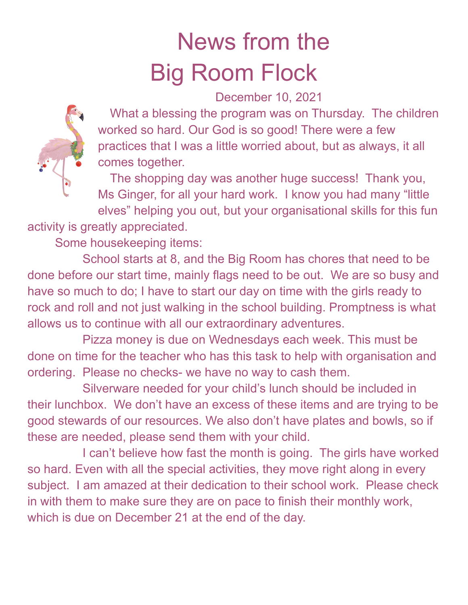## News from the Big Room Flock

December 10, 2021



What a blessing the program was on Thursday. The children worked so hard. Our God is so good! There were a few practices that I was a little worried about, but as always, it all comes together.

The shopping day was another huge success! Thank you, Ms Ginger, for all your hard work. I know you had many "little elves" helping you out, but your organisational skills for this fun

activity is greatly appreciated.

Some housekeeping items:

School starts at 8, and the Big Room has chores that need to be done before our start time, mainly flags need to be out. We are so busy and have so much to do; I have to start our day on time with the girls ready to rock and roll and not just walking in the school building. Promptness is what allows us to continue with all our extraordinary adventures.

Pizza money is due on Wednesdays each week. This must be done on time for the teacher who has this task to help with organisation and ordering. Please no checks- we have no way to cash them.

Silverware needed for your child's lunch should be included in their lunchbox. We don't have an excess of these items and are trying to be good stewards of our resources. We also don't have plates and bowls, so if these are needed, please send them with your child.

I can't believe how fast the month is going. The girls have worked so hard. Even with all the special activities, they move right along in every subject. I am amazed at their dedication to their school work. Please check in with them to make sure they are on pace to finish their monthly work, which is due on December 21 at the end of the day.